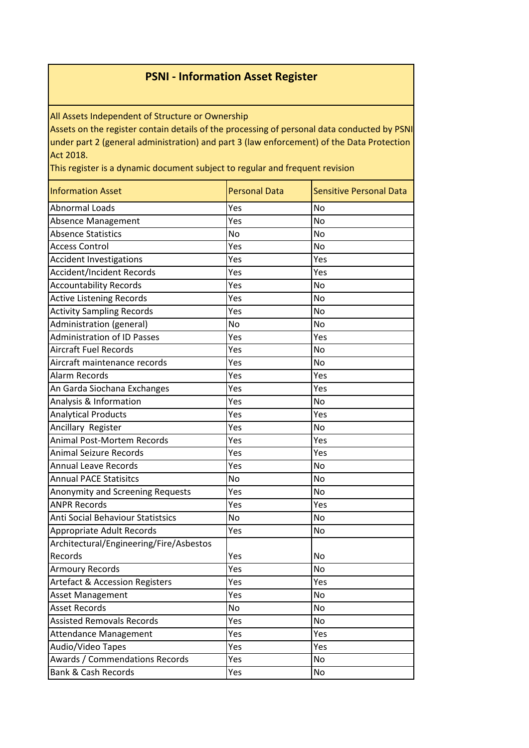## **PSNI - Information Asset Register**

All Assets Independent of Structure or Ownership

Assets on the register contain details of the processing of personal data conducted by PSNI under part 2 (general administration) and part 3 (law enforcement) of the Data Protection Act 2018.

This register is a dynamic document subject to regular and frequent revision

| <b>Information Asset</b>                  | <b>Personal Data</b> | <b>Sensitive Personal Data</b> |
|-------------------------------------------|----------------------|--------------------------------|
| <b>Abnormal Loads</b>                     | Yes                  | <b>No</b>                      |
| Absence Management                        | Yes                  | <b>No</b>                      |
| <b>Absence Statistics</b>                 | No                   | <b>No</b>                      |
| <b>Access Control</b>                     | Yes                  | <b>No</b>                      |
| <b>Accident Investigations</b>            | Yes                  | Yes                            |
| <b>Accident/Incident Records</b>          | Yes                  | Yes                            |
| <b>Accountability Records</b>             | Yes                  | <b>No</b>                      |
| Active Listening Records                  | Yes                  | <b>No</b>                      |
| <b>Activity Sampling Records</b>          | Yes                  | <b>No</b>                      |
| Administration (general)                  | No                   | <b>No</b>                      |
| <b>Administration of ID Passes</b>        | Yes                  | Yes                            |
| <b>Aircraft Fuel Records</b>              | Yes                  | <b>No</b>                      |
| Aircraft maintenance records              | Yes                  | No                             |
| <b>Alarm Records</b>                      | Yes                  | Yes                            |
| An Garda Siochana Exchanges               | Yes                  | Yes                            |
| Analysis & Information                    | Yes                  | <b>No</b>                      |
| <b>Analytical Products</b>                | Yes                  | Yes                            |
| Ancillary Register                        | Yes                  | <b>No</b>                      |
| <b>Animal Post-Mortem Records</b>         | Yes                  | Yes                            |
| <b>Animal Seizure Records</b>             | Yes                  | Yes                            |
| <b>Annual Leave Records</b>               | Yes                  | <b>No</b>                      |
| <b>Annual PACE Statisitcs</b>             | No                   | <b>No</b>                      |
| Anonymity and Screening Requests          | Yes                  | <b>No</b>                      |
| <b>ANPR Records</b>                       | Yes                  | Yes                            |
| Anti Social Behaviour Statistsics         | No                   | <b>No</b>                      |
| Appropriate Adult Records                 | Yes                  | <b>No</b>                      |
| Architectural/Engineering/Fire/Asbestos   |                      |                                |
| Records                                   | Yes                  | <b>No</b>                      |
| <b>Armoury Records</b>                    | Yes                  | <b>No</b>                      |
| <b>Artefact &amp; Accession Registers</b> | Yes                  | Yes                            |
| <b>Asset Management</b>                   | Yes                  | No                             |
| <b>Asset Records</b>                      | No                   | No                             |
| <b>Assisted Removals Records</b>          | Yes                  | No                             |
| <b>Attendance Management</b>              | Yes                  | Yes                            |
| Audio/Video Tapes                         | Yes                  | Yes                            |
| Awards / Commendations Records            | Yes                  | No                             |
| <b>Bank &amp; Cash Records</b>            | Yes                  | No                             |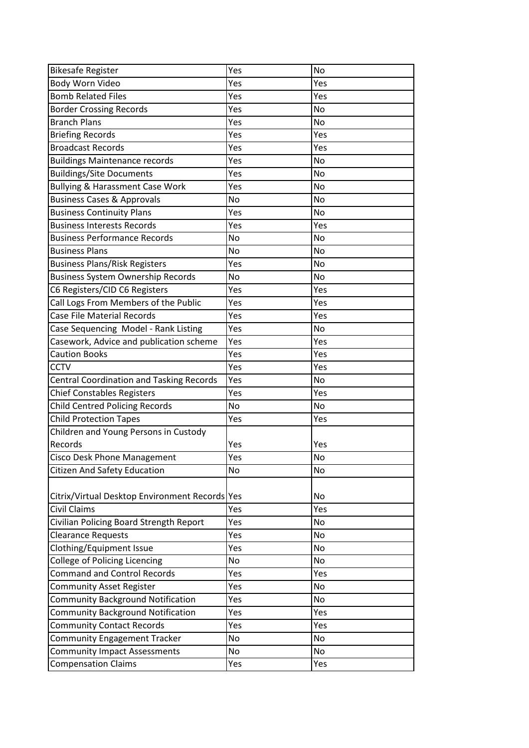| <b>Bikesafe Register</b>                        | Yes | <b>No</b> |
|-------------------------------------------------|-----|-----------|
| <b>Body Worn Video</b>                          | Yes | Yes       |
| <b>Bomb Related Files</b>                       | Yes | Yes       |
| <b>Border Crossing Records</b>                  | Yes | <b>No</b> |
| <b>Branch Plans</b>                             | Yes | <b>No</b> |
| <b>Briefing Records</b>                         | Yes | Yes       |
| <b>Broadcast Records</b>                        | Yes | Yes       |
| <b>Buildings Maintenance records</b>            | Yes | <b>No</b> |
| <b>Buildings/Site Documents</b>                 | Yes | <b>No</b> |
| <b>Bullying &amp; Harassment Case Work</b>      | Yes | <b>No</b> |
| <b>Business Cases &amp; Approvals</b>           | No  | <b>No</b> |
| <b>Business Continuity Plans</b>                | Yes | <b>No</b> |
| <b>Business Interests Records</b>               | Yes | Yes       |
| <b>Business Performance Records</b>             | No  | <b>No</b> |
| <b>Business Plans</b>                           | No  | <b>No</b> |
| <b>Business Plans/Risk Registers</b>            | Yes | <b>No</b> |
| <b>Business System Ownership Records</b>        | No  | <b>No</b> |
| C6 Registers/CID C6 Registers                   | Yes | Yes       |
| Call Logs From Members of the Public            | Yes | Yes       |
| Case File Material Records                      | Yes | Yes       |
| Case Sequencing Model - Rank Listing            | Yes | <b>No</b> |
| Casework, Advice and publication scheme         | Yes | Yes       |
| <b>Caution Books</b>                            | Yes | Yes       |
| <b>CCTV</b>                                     | Yes | Yes       |
| <b>Central Coordination and Tasking Records</b> | Yes | No        |
| <b>Chief Constables Registers</b>               | Yes | Yes       |
| <b>Child Centred Policing Records</b>           | No  | <b>No</b> |
| <b>Child Protection Tapes</b>                   | Yes | Yes       |
| Children and Young Persons in Custody           |     |           |
| Records                                         | Yes | Yes       |
| <b>Cisco Desk Phone Management</b>              | Yes | <b>No</b> |
| <b>Citizen And Safety Education</b>             | No  | <b>No</b> |
|                                                 |     |           |
| Citrix/Virtual Desktop Environment Records Yes  |     | No        |
| Civil Claims                                    | Yes | Yes       |
| Civilian Policing Board Strength Report         | Yes | No        |
| <b>Clearance Requests</b>                       | Yes | <b>No</b> |
| Clothing/Equipment Issue                        | Yes | <b>No</b> |
| College of Policing Licencing                   | No  | No        |
| <b>Command and Control Records</b>              | Yes | Yes       |
| <b>Community Asset Register</b>                 | Yes | No        |
| <b>Community Background Notification</b>        | Yes | <b>No</b> |
| <b>Community Background Notification</b>        | Yes | Yes       |
| <b>Community Contact Records</b>                | Yes | Yes       |
| <b>Community Engagement Tracker</b>             | No  | <b>No</b> |
| <b>Community Impact Assessments</b>             | No  | No        |
| <b>Compensation Claims</b>                      | Yes | Yes       |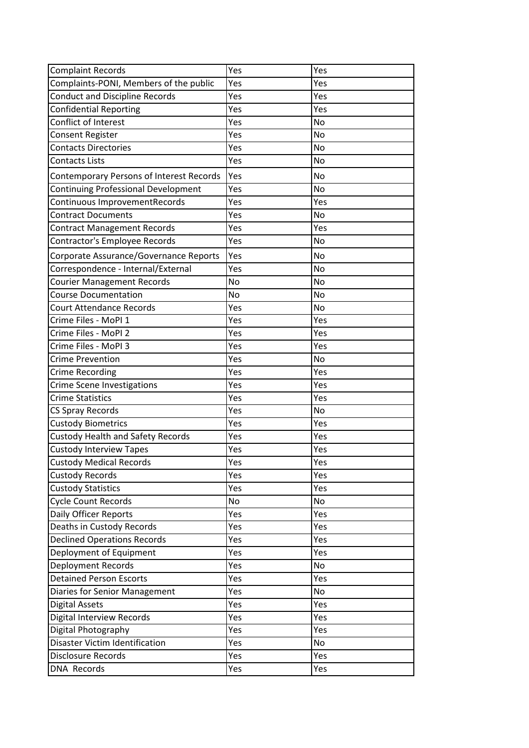| <b>Complaint Records</b>                        | Yes | Yes       |
|-------------------------------------------------|-----|-----------|
| Complaints-PONI, Members of the public          | Yes | Yes       |
| <b>Conduct and Discipline Records</b>           | Yes | Yes       |
| <b>Confidential Reporting</b>                   | Yes | Yes       |
| Conflict of Interest                            | Yes | <b>No</b> |
| <b>Consent Register</b>                         | Yes | No        |
| <b>Contacts Directories</b>                     | Yes | <b>No</b> |
| Contacts Lists                                  | Yes | No        |
| <b>Contemporary Persons of Interest Records</b> | Yes | <b>No</b> |
| <b>Continuing Professional Development</b>      | Yes | No        |
| Continuous ImprovementRecords                   | Yes | Yes       |
| <b>Contract Documents</b>                       | Yes | No        |
| <b>Contract Management Records</b>              | Yes | Yes       |
| Contractor's Employee Records                   | Yes | No        |
| Corporate Assurance/Governance Reports          | Yes | <b>No</b> |
| Correspondence - Internal/External              | Yes | <b>No</b> |
| <b>Courier Management Records</b>               | No  | <b>No</b> |
| <b>Course Documentation</b>                     | No  | No        |
| <b>Court Attendance Records</b>                 | Yes | <b>No</b> |
| Crime Files - MoPI 1                            | Yes | Yes       |
| Crime Files - MoPI 2                            | Yes | Yes       |
| Crime Files - MoPI 3                            | Yes | Yes       |
| <b>Crime Prevention</b>                         | Yes | No        |
| <b>Crime Recording</b>                          | Yes | Yes       |
| <b>Crime Scene Investigations</b>               | Yes | Yes       |
| <b>Crime Statistics</b>                         | Yes | Yes       |
| CS Spray Records                                | Yes | No        |
| <b>Custody Biometrics</b>                       | Yes | Yes       |
| <b>Custody Health and Safety Records</b>        | Yes | Yes       |
| <b>Custody Interview Tapes</b>                  | Yes | Yes       |
| <b>Custody Medical Records</b>                  | Yes | Yes       |
| <b>Custody Records</b>                          | Yes | Yes       |
| <b>Custody Statistics</b>                       | Yes | Yes       |
| <b>Cycle Count Records</b>                      | No  | No        |
| Daily Officer Reports                           | Yes | Yes       |
| Deaths in Custody Records                       | Yes | Yes       |
| <b>Declined Operations Records</b>              | Yes | Yes       |
| Deployment of Equipment                         | Yes | Yes       |
| Deployment Records                              | Yes | No        |
| <b>Detained Person Escorts</b>                  | Yes | Yes       |
| Diaries for Senior Management                   | Yes | No        |
| <b>Digital Assets</b>                           | Yes | Yes       |
| <b>Digital Interview Records</b>                | Yes | Yes       |
| Digital Photography                             | Yes | Yes       |
| <b>Disaster Victim Identification</b>           | Yes | No        |
| Disclosure Records                              | Yes | Yes       |
| <b>DNA Records</b>                              | Yes | Yes       |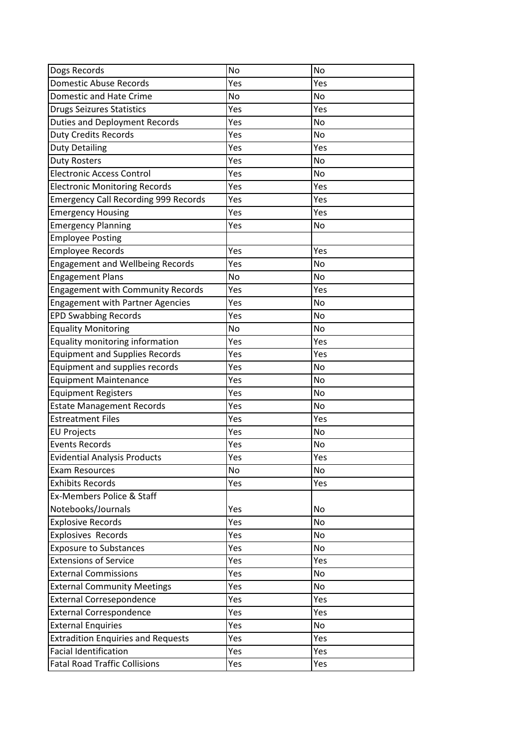| Dogs Records                                | No  | <b>No</b> |
|---------------------------------------------|-----|-----------|
| Domestic Abuse Records                      | Yes | Yes       |
| <b>Domestic and Hate Crime</b>              | No  | No        |
| Drugs Seizures Statistics                   | Yes | Yes       |
| <b>Duties and Deployment Records</b>        | Yes | <b>No</b> |
| <b>Duty Credits Records</b>                 | Yes | No        |
| <b>Duty Detailing</b>                       | Yes | Yes       |
| <b>Duty Rosters</b>                         | Yes | <b>No</b> |
| <b>Electronic Access Control</b>            | Yes | <b>No</b> |
| <b>Electronic Monitoring Records</b>        | Yes | Yes       |
| <b>Emergency Call Recording 999 Records</b> | Yes | Yes       |
| <b>Emergency Housing</b>                    | Yes | Yes       |
| <b>Emergency Planning</b>                   | Yes | No        |
| <b>Employee Posting</b>                     |     |           |
| Employee Records                            | Yes | Yes       |
| <b>Engagement and Wellbeing Records</b>     | Yes | <b>No</b> |
| <b>Engagement Plans</b>                     | No  | <b>No</b> |
| <b>Engagement with Community Records</b>    | Yes | Yes       |
| <b>Engagement with Partner Agencies</b>     | Yes | <b>No</b> |
| <b>EPD Swabbing Records</b>                 | Yes | No        |
| <b>Equality Monitoring</b>                  | No  | <b>No</b> |
| Equality monitoring information             | Yes | Yes       |
| <b>Equipment and Supplies Records</b>       | Yes | Yes       |
| Equipment and supplies records              | Yes | <b>No</b> |
| <b>Equipment Maintenance</b>                | Yes | No        |
| <b>Equipment Registers</b>                  | Yes | <b>No</b> |
| <b>Estate Management Records</b>            | Yes | <b>No</b> |
| <b>Estreatment Files</b>                    | Yes | Yes       |
| <b>EU Projects</b>                          | Yes | <b>No</b> |
| <b>Events Records</b>                       | Yes | <b>No</b> |
| <b>Evidential Analysis Products</b>         | Yes | Yes       |
| <b>Exam Resources</b>                       | No  | <b>No</b> |
| <b>Exhibits Records</b>                     | Yes | Yes       |
| <b>Ex-Members Police &amp; Staff</b>        |     |           |
| Notebooks/Journals                          | Yes | No        |
| <b>Explosive Records</b>                    | Yes | <b>No</b> |
| <b>Explosives Records</b>                   | Yes | No        |
| <b>Exposure to Substances</b>               | Yes | No        |
| <b>Extensions of Service</b>                | Yes | Yes       |
| <b>External Commissions</b>                 | Yes | <b>No</b> |
| <b>External Community Meetings</b>          | Yes | No        |
| <b>External Corresepondence</b>             | Yes | Yes       |
| <b>External Correspondence</b>              | Yes | Yes       |
| <b>External Enquiries</b>                   | Yes | No        |
| <b>Extradition Enquiries and Requests</b>   | Yes | Yes       |
| <b>Facial Identification</b>                | Yes | Yes       |
| <b>Fatal Road Traffic Collisions</b>        | Yes | Yes       |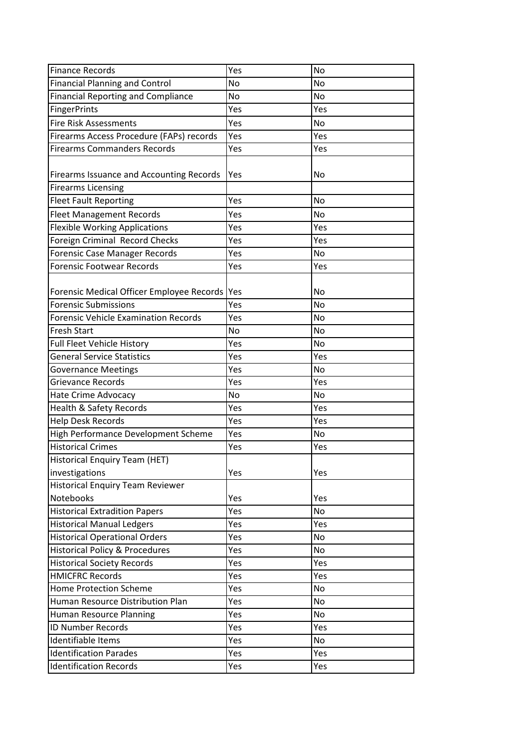| Finance Records                                | Yes | <b>No</b> |
|------------------------------------------------|-----|-----------|
| <b>Financial Planning and Control</b>          | No  | <b>No</b> |
| <b>Financial Reporting and Compliance</b>      | No  | <b>No</b> |
| FingerPrints                                   | Yes | Yes       |
| <b>Fire Risk Assessments</b>                   | Yes | No        |
| Firearms Access Procedure (FAPs) records       | Yes | Yes       |
| <b>Firearms Commanders Records</b>             | Yes | Yes       |
| Firearms Issuance and Accounting Records       | Yes | No        |
| <b>Firearms Licensing</b>                      |     |           |
| <b>Fleet Fault Reporting</b>                   | Yes | <b>No</b> |
| <b>Fleet Management Records</b>                | Yes | <b>No</b> |
| <b>Flexible Working Applications</b>           | Yes | Yes       |
| Foreign Criminal Record Checks                 | Yes | Yes       |
| Forensic Case Manager Records                  | Yes | <b>No</b> |
| Forensic Footwear Records                      | Yes | Yes       |
|                                                |     |           |
| Forensic Medical Officer Employee Records  Yes |     | <b>No</b> |
| <b>Forensic Submissions</b>                    | Yes | <b>No</b> |
| <b>Forensic Vehicle Examination Records</b>    | Yes | <b>No</b> |
| <b>Fresh Start</b>                             | No  | <b>No</b> |
| Full Fleet Vehicle History                     | Yes | <b>No</b> |
| <b>General Service Statistics</b>              | Yes | Yes       |
| <b>Governance Meetings</b>                     | Yes | No        |
| <b>Grievance Records</b>                       | Yes | Yes       |
| <b>Hate Crime Advocacy</b>                     | No  | No        |
| Health & Safety Records                        | Yes | Yes       |
| <b>Help Desk Records</b>                       | Yes | Yes       |
| High Performance Development Scheme            | Yes | <b>No</b> |
| <b>Historical Crimes</b>                       | Yes | Yes       |
| Historical Enguiry Team (HET)                  |     |           |
| investigations                                 | Yes | Yes       |
| <b>Historical Enquiry Team Reviewer</b>        |     |           |
| Notebooks                                      | Yes | Yes       |
| <b>Historical Extradition Papers</b>           | Yes | <b>No</b> |
| <b>Historical Manual Ledgers</b>               | Yes | Yes       |
| <b>Historical Operational Orders</b>           | Yes | No        |
| <b>Historical Policy &amp; Procedures</b>      | Yes | No        |
| <b>Historical Society Records</b>              | Yes | Yes       |
| <b>HMICFRC Records</b>                         | Yes | Yes       |
| <b>Home Protection Scheme</b>                  | Yes | <b>No</b> |
| Human Resource Distribution Plan               | Yes | <b>No</b> |
| Human Resource Planning                        | Yes | <b>No</b> |
| <b>ID Number Records</b>                       | Yes | Yes       |
| Identifiable Items                             | Yes | No        |
| <b>Identification Parades</b>                  | Yes | Yes       |
| <b>Identification Records</b>                  | Yes | Yes       |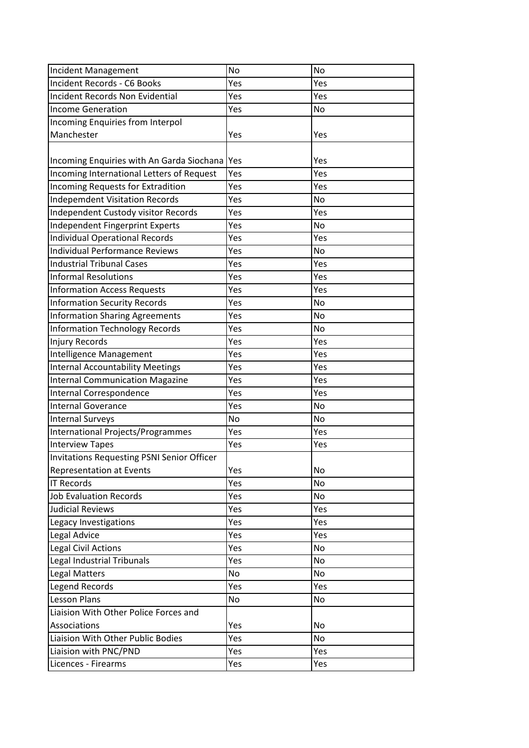| Incident Management                               | No  | <b>No</b> |
|---------------------------------------------------|-----|-----------|
| Incident Records - C6 Books                       | Yes | Yes       |
| Incident Records Non Evidential                   | Yes | Yes       |
| <b>Income Generation</b>                          | Yes | <b>No</b> |
| Incoming Enquiries from Interpol                  |     |           |
| Manchester                                        | Yes | Yes       |
|                                                   |     |           |
| Incoming Enquiries with An Garda Siochana         | Yes | Yes       |
| Incoming International Letters of Request         | Yes | Yes       |
| Incoming Requests for Extradition                 | Yes | Yes       |
| <b>Indepemdent Visitation Records</b>             | Yes | No        |
| Independent Custody visitor Records               | Yes | Yes       |
| Independent Fingerprint Experts                   | Yes | <b>No</b> |
| Individual Operational Records                    | Yes | Yes       |
| <b>Individual Performance Reviews</b>             | Yes | <b>No</b> |
| <b>Industrial Tribunal Cases</b>                  | Yes | Yes       |
| <b>Informal Resolutions</b>                       | Yes | Yes       |
| <b>Information Access Requests</b>                | Yes | Yes       |
| <b>Information Security Records</b>               | Yes | <b>No</b> |
| <b>Information Sharing Agreements</b>             | Yes | <b>No</b> |
| <b>Information Technology Records</b>             | Yes | <b>No</b> |
| <b>Injury Records</b>                             | Yes | Yes       |
| Intelligence Management                           | Yes | Yes       |
| <b>Internal Accountability Meetings</b>           | Yes | Yes       |
| <b>Internal Communication Magazine</b>            | Yes | Yes       |
| Internal Correspondence                           | Yes | Yes       |
| <b>Internal Goverance</b>                         | Yes | <b>No</b> |
| <b>Internal Surveys</b>                           | No  | <b>No</b> |
| <b>International Projects/Programmes</b>          | Yes | Yes       |
| <b>Interview Tapes</b>                            | Yes | Yes       |
| <b>Invitations Requesting PSNI Senior Officer</b> |     |           |
| <b>Representation at Events</b>                   | Yes | No        |
| <b>IT Records</b>                                 | Yes | No        |
| <b>Job Evaluation Records</b>                     | Yes | No        |
| <b>Judicial Reviews</b>                           | Yes | Yes       |
| Legacy Investigations                             | Yes | Yes       |
| Legal Advice                                      | Yes | Yes       |
| Legal Civil Actions                               | Yes | No        |
| Legal Industrial Tribunals                        | Yes | No        |
| <b>Legal Matters</b>                              | No  | No        |
| <b>Legend Records</b>                             | Yes | Yes       |
| <b>Lesson Plans</b>                               | No  | No        |
| Liaision With Other Police Forces and             |     |           |
| Associations                                      | Yes | No        |
| Liaision With Other Public Bodies                 | Yes | No        |
| Liaision with PNC/PND                             | Yes | Yes       |
| Licences - Firearms                               | Yes | Yes       |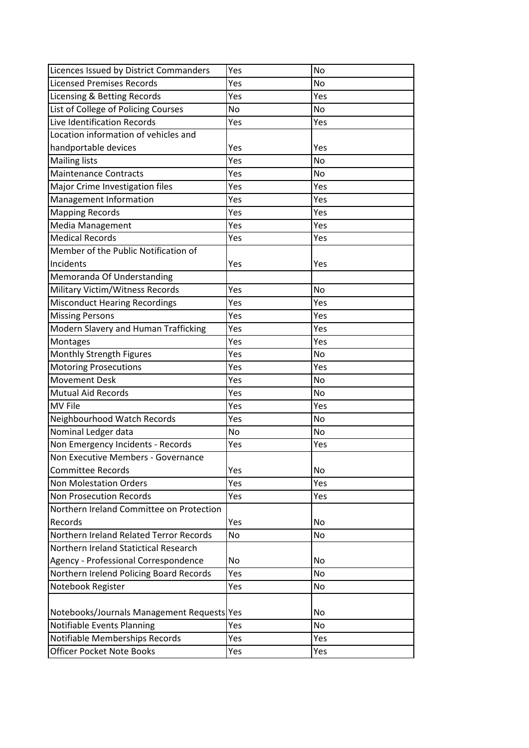| Licences Issued by District Commanders     | Yes       | <b>No</b> |
|--------------------------------------------|-----------|-----------|
| <b>Licensed Premises Records</b>           | Yes       | <b>No</b> |
| Licensing & Betting Records                | Yes       | Yes       |
| List of College of Policing Courses        | <b>No</b> | <b>No</b> |
| Live Identification Records                | Yes       | Yes       |
| Location information of vehicles and       |           |           |
| handportable devices                       | Yes       | Yes       |
| <b>Mailing lists</b>                       | Yes       | No        |
| <b>Maintenance Contracts</b>               | Yes       | <b>No</b> |
| Major Crime Investigation files            | Yes       | Yes       |
| Management Information                     | Yes       | Yes       |
| <b>Mapping Records</b>                     | Yes       | Yes       |
| <b>Media Management</b>                    | Yes       | Yes       |
| <b>Medical Records</b>                     | Yes       | Yes       |
| Member of the Public Notification of       |           |           |
| Incidents                                  | Yes       | Yes       |
| Memoranda Of Understanding                 |           |           |
| Military Victim/Witness Records            | Yes       | No        |
| <b>Misconduct Hearing Recordings</b>       | Yes       | Yes       |
| <b>Missing Persons</b>                     | Yes       | Yes       |
| Modern Slavery and Human Trafficking       | Yes       | Yes       |
| Montages                                   | Yes       | Yes       |
| Monthly Strength Figures                   | Yes       | <b>No</b> |
| <b>Motoring Prosecutions</b>               | Yes       | Yes       |
| <b>Movement Desk</b>                       | Yes       | <b>No</b> |
| <b>Mutual Aid Records</b>                  | Yes       | No        |
| <b>MV File</b>                             | Yes       | Yes       |
| Neighbourhood Watch Records                | Yes       | No        |
| Nominal Ledger data                        | No        | <b>No</b> |
| Non Emergency Incidents - Records          | Yes       | Yes       |
| Non Executive Members - Governance         |           |           |
| <b>Committee Records</b>                   | Yes       | No        |
| <b>Non Molestation Orders</b>              | Yes       | Yes       |
| <b>Non Prosecution Records</b>             | Yes       | Yes       |
| Northern Ireland Committee on Protection   |           |           |
| Records                                    | Yes       | No        |
| Northern Ireland Related Terror Records    | No        | No        |
| Northern Ireland Statictical Research      |           |           |
| Agency - Professional Correspondence       | No        | No        |
| Northern Irelend Policing Board Records    | Yes       | No        |
| Notebook Register                          | Yes       | No        |
| Notebooks/Journals Management Requests Yes |           | No        |
| Notifiable Events Planning                 | Yes       | No        |
| Notifiable Memberships Records             | Yes       | Yes       |
| <b>Officer Pocket Note Books</b>           | Yes       | Yes       |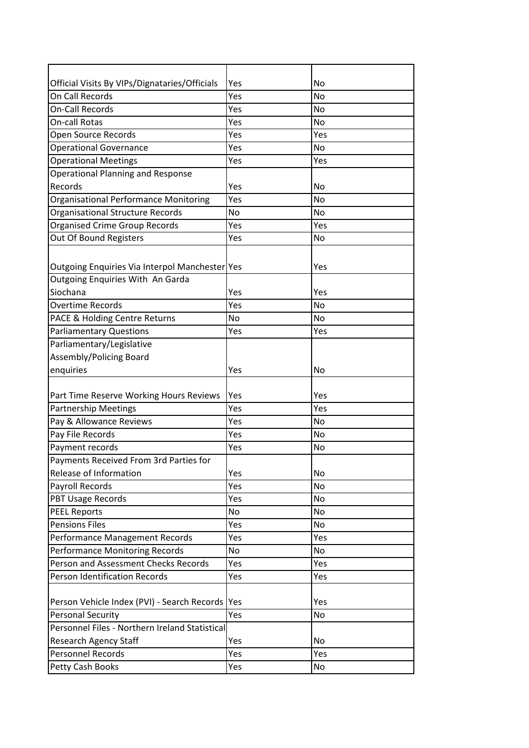| Official Visits By VIPs/Dignataries/Officials<br>No<br>Yes<br>On Call Records<br><b>No</b><br>Yes<br>On-Call Records<br>No<br>Yes<br><b>No</b><br>On-call Rotas<br>Yes<br>Yes<br>Open Source Records<br>Yes<br><b>Operational Governance</b><br>Yes<br><b>No</b><br><b>Operational Meetings</b><br>Yes<br>Yes<br><b>Operational Planning and Response</b><br>Records<br><b>No</b><br>Yes<br>Organisational Performance Monitoring<br><b>No</b><br>Yes<br><b>Organisational Structure Records</b><br><b>No</b><br>No<br><b>Organised Crime Group Records</b><br>Yes<br>Yes<br>Out Of Bound Registers<br><b>No</b><br>Yes<br>Outgoing Enquiries Via Interpol Manchester Yes<br>Yes<br>Outgoing Enquiries With An Garda<br>Siochana<br>Yes<br>Yes<br><b>No</b><br><b>Overtime Records</b><br>Yes<br>PACE & Holding Centre Returns<br>No<br>No<br>Yes<br><b>Parliamentary Questions</b><br>Yes<br>Parliamentary/Legislative<br>Assembly/Policing Board<br>enquiries<br>Yes<br>No<br>Yes<br>Part Time Reserve Working Hours Reviews<br>Yes<br>Yes<br><b>Partnership Meetings</b><br>Yes<br>Pay & Allowance Reviews<br>Yes<br><b>No</b><br>Pay File Records<br>Yes<br>No<br>Payment records<br><b>No</b><br>Yes<br>Payments Received From 3rd Parties for<br><b>No</b><br>Release of Information<br>Yes<br><b>No</b><br>Payroll Records<br>Yes<br>PBT Usage Records<br><b>No</b><br>Yes<br><b>PEEL Reports</b><br>No<br><b>No</b><br><b>Pensions Files</b><br>No<br>Yes<br>Yes<br>Performance Management Records<br>Yes<br><b>Performance Monitoring Records</b><br>No<br>No<br>Person and Assessment Checks Records<br>Yes<br>Yes<br><b>Person Identification Records</b><br>Yes<br>Yes<br>Person Vehicle Index (PVI) - Search Records<br>Yes<br>Yes<br><b>Personal Security</b><br>No<br>Yes<br>Personnel Files - Northern Ireland Statistical<br><b>Research Agency Staff</b><br>Yes<br>No<br><b>Personnel Records</b><br>Yes<br>Yes<br>Yes<br>No |                  |  |
|------------------------------------------------------------------------------------------------------------------------------------------------------------------------------------------------------------------------------------------------------------------------------------------------------------------------------------------------------------------------------------------------------------------------------------------------------------------------------------------------------------------------------------------------------------------------------------------------------------------------------------------------------------------------------------------------------------------------------------------------------------------------------------------------------------------------------------------------------------------------------------------------------------------------------------------------------------------------------------------------------------------------------------------------------------------------------------------------------------------------------------------------------------------------------------------------------------------------------------------------------------------------------------------------------------------------------------------------------------------------------------------------------------------------------------------------------------------------------------------------------------------------------------------------------------------------------------------------------------------------------------------------------------------------------------------------------------------------------------------------------------------------------------------------------------------------------------------------------------------------------------------------------------------------------------------------|------------------|--|
|                                                                                                                                                                                                                                                                                                                                                                                                                                                                                                                                                                                                                                                                                                                                                                                                                                                                                                                                                                                                                                                                                                                                                                                                                                                                                                                                                                                                                                                                                                                                                                                                                                                                                                                                                                                                                                                                                                                                                |                  |  |
|                                                                                                                                                                                                                                                                                                                                                                                                                                                                                                                                                                                                                                                                                                                                                                                                                                                                                                                                                                                                                                                                                                                                                                                                                                                                                                                                                                                                                                                                                                                                                                                                                                                                                                                                                                                                                                                                                                                                                |                  |  |
|                                                                                                                                                                                                                                                                                                                                                                                                                                                                                                                                                                                                                                                                                                                                                                                                                                                                                                                                                                                                                                                                                                                                                                                                                                                                                                                                                                                                                                                                                                                                                                                                                                                                                                                                                                                                                                                                                                                                                |                  |  |
|                                                                                                                                                                                                                                                                                                                                                                                                                                                                                                                                                                                                                                                                                                                                                                                                                                                                                                                                                                                                                                                                                                                                                                                                                                                                                                                                                                                                                                                                                                                                                                                                                                                                                                                                                                                                                                                                                                                                                |                  |  |
|                                                                                                                                                                                                                                                                                                                                                                                                                                                                                                                                                                                                                                                                                                                                                                                                                                                                                                                                                                                                                                                                                                                                                                                                                                                                                                                                                                                                                                                                                                                                                                                                                                                                                                                                                                                                                                                                                                                                                |                  |  |
|                                                                                                                                                                                                                                                                                                                                                                                                                                                                                                                                                                                                                                                                                                                                                                                                                                                                                                                                                                                                                                                                                                                                                                                                                                                                                                                                                                                                                                                                                                                                                                                                                                                                                                                                                                                                                                                                                                                                                |                  |  |
|                                                                                                                                                                                                                                                                                                                                                                                                                                                                                                                                                                                                                                                                                                                                                                                                                                                                                                                                                                                                                                                                                                                                                                                                                                                                                                                                                                                                                                                                                                                                                                                                                                                                                                                                                                                                                                                                                                                                                |                  |  |
|                                                                                                                                                                                                                                                                                                                                                                                                                                                                                                                                                                                                                                                                                                                                                                                                                                                                                                                                                                                                                                                                                                                                                                                                                                                                                                                                                                                                                                                                                                                                                                                                                                                                                                                                                                                                                                                                                                                                                |                  |  |
|                                                                                                                                                                                                                                                                                                                                                                                                                                                                                                                                                                                                                                                                                                                                                                                                                                                                                                                                                                                                                                                                                                                                                                                                                                                                                                                                                                                                                                                                                                                                                                                                                                                                                                                                                                                                                                                                                                                                                |                  |  |
|                                                                                                                                                                                                                                                                                                                                                                                                                                                                                                                                                                                                                                                                                                                                                                                                                                                                                                                                                                                                                                                                                                                                                                                                                                                                                                                                                                                                                                                                                                                                                                                                                                                                                                                                                                                                                                                                                                                                                |                  |  |
|                                                                                                                                                                                                                                                                                                                                                                                                                                                                                                                                                                                                                                                                                                                                                                                                                                                                                                                                                                                                                                                                                                                                                                                                                                                                                                                                                                                                                                                                                                                                                                                                                                                                                                                                                                                                                                                                                                                                                |                  |  |
|                                                                                                                                                                                                                                                                                                                                                                                                                                                                                                                                                                                                                                                                                                                                                                                                                                                                                                                                                                                                                                                                                                                                                                                                                                                                                                                                                                                                                                                                                                                                                                                                                                                                                                                                                                                                                                                                                                                                                |                  |  |
|                                                                                                                                                                                                                                                                                                                                                                                                                                                                                                                                                                                                                                                                                                                                                                                                                                                                                                                                                                                                                                                                                                                                                                                                                                                                                                                                                                                                                                                                                                                                                                                                                                                                                                                                                                                                                                                                                                                                                |                  |  |
|                                                                                                                                                                                                                                                                                                                                                                                                                                                                                                                                                                                                                                                                                                                                                                                                                                                                                                                                                                                                                                                                                                                                                                                                                                                                                                                                                                                                                                                                                                                                                                                                                                                                                                                                                                                                                                                                                                                                                |                  |  |
|                                                                                                                                                                                                                                                                                                                                                                                                                                                                                                                                                                                                                                                                                                                                                                                                                                                                                                                                                                                                                                                                                                                                                                                                                                                                                                                                                                                                                                                                                                                                                                                                                                                                                                                                                                                                                                                                                                                                                |                  |  |
|                                                                                                                                                                                                                                                                                                                                                                                                                                                                                                                                                                                                                                                                                                                                                                                                                                                                                                                                                                                                                                                                                                                                                                                                                                                                                                                                                                                                                                                                                                                                                                                                                                                                                                                                                                                                                                                                                                                                                |                  |  |
|                                                                                                                                                                                                                                                                                                                                                                                                                                                                                                                                                                                                                                                                                                                                                                                                                                                                                                                                                                                                                                                                                                                                                                                                                                                                                                                                                                                                                                                                                                                                                                                                                                                                                                                                                                                                                                                                                                                                                |                  |  |
|                                                                                                                                                                                                                                                                                                                                                                                                                                                                                                                                                                                                                                                                                                                                                                                                                                                                                                                                                                                                                                                                                                                                                                                                                                                                                                                                                                                                                                                                                                                                                                                                                                                                                                                                                                                                                                                                                                                                                |                  |  |
|                                                                                                                                                                                                                                                                                                                                                                                                                                                                                                                                                                                                                                                                                                                                                                                                                                                                                                                                                                                                                                                                                                                                                                                                                                                                                                                                                                                                                                                                                                                                                                                                                                                                                                                                                                                                                                                                                                                                                |                  |  |
|                                                                                                                                                                                                                                                                                                                                                                                                                                                                                                                                                                                                                                                                                                                                                                                                                                                                                                                                                                                                                                                                                                                                                                                                                                                                                                                                                                                                                                                                                                                                                                                                                                                                                                                                                                                                                                                                                                                                                |                  |  |
|                                                                                                                                                                                                                                                                                                                                                                                                                                                                                                                                                                                                                                                                                                                                                                                                                                                                                                                                                                                                                                                                                                                                                                                                                                                                                                                                                                                                                                                                                                                                                                                                                                                                                                                                                                                                                                                                                                                                                |                  |  |
|                                                                                                                                                                                                                                                                                                                                                                                                                                                                                                                                                                                                                                                                                                                                                                                                                                                                                                                                                                                                                                                                                                                                                                                                                                                                                                                                                                                                                                                                                                                                                                                                                                                                                                                                                                                                                                                                                                                                                |                  |  |
|                                                                                                                                                                                                                                                                                                                                                                                                                                                                                                                                                                                                                                                                                                                                                                                                                                                                                                                                                                                                                                                                                                                                                                                                                                                                                                                                                                                                                                                                                                                                                                                                                                                                                                                                                                                                                                                                                                                                                |                  |  |
|                                                                                                                                                                                                                                                                                                                                                                                                                                                                                                                                                                                                                                                                                                                                                                                                                                                                                                                                                                                                                                                                                                                                                                                                                                                                                                                                                                                                                                                                                                                                                                                                                                                                                                                                                                                                                                                                                                                                                |                  |  |
|                                                                                                                                                                                                                                                                                                                                                                                                                                                                                                                                                                                                                                                                                                                                                                                                                                                                                                                                                                                                                                                                                                                                                                                                                                                                                                                                                                                                                                                                                                                                                                                                                                                                                                                                                                                                                                                                                                                                                |                  |  |
|                                                                                                                                                                                                                                                                                                                                                                                                                                                                                                                                                                                                                                                                                                                                                                                                                                                                                                                                                                                                                                                                                                                                                                                                                                                                                                                                                                                                                                                                                                                                                                                                                                                                                                                                                                                                                                                                                                                                                |                  |  |
|                                                                                                                                                                                                                                                                                                                                                                                                                                                                                                                                                                                                                                                                                                                                                                                                                                                                                                                                                                                                                                                                                                                                                                                                                                                                                                                                                                                                                                                                                                                                                                                                                                                                                                                                                                                                                                                                                                                                                |                  |  |
|                                                                                                                                                                                                                                                                                                                                                                                                                                                                                                                                                                                                                                                                                                                                                                                                                                                                                                                                                                                                                                                                                                                                                                                                                                                                                                                                                                                                                                                                                                                                                                                                                                                                                                                                                                                                                                                                                                                                                |                  |  |
|                                                                                                                                                                                                                                                                                                                                                                                                                                                                                                                                                                                                                                                                                                                                                                                                                                                                                                                                                                                                                                                                                                                                                                                                                                                                                                                                                                                                                                                                                                                                                                                                                                                                                                                                                                                                                                                                                                                                                |                  |  |
|                                                                                                                                                                                                                                                                                                                                                                                                                                                                                                                                                                                                                                                                                                                                                                                                                                                                                                                                                                                                                                                                                                                                                                                                                                                                                                                                                                                                                                                                                                                                                                                                                                                                                                                                                                                                                                                                                                                                                |                  |  |
|                                                                                                                                                                                                                                                                                                                                                                                                                                                                                                                                                                                                                                                                                                                                                                                                                                                                                                                                                                                                                                                                                                                                                                                                                                                                                                                                                                                                                                                                                                                                                                                                                                                                                                                                                                                                                                                                                                                                                |                  |  |
|                                                                                                                                                                                                                                                                                                                                                                                                                                                                                                                                                                                                                                                                                                                                                                                                                                                                                                                                                                                                                                                                                                                                                                                                                                                                                                                                                                                                                                                                                                                                                                                                                                                                                                                                                                                                                                                                                                                                                |                  |  |
|                                                                                                                                                                                                                                                                                                                                                                                                                                                                                                                                                                                                                                                                                                                                                                                                                                                                                                                                                                                                                                                                                                                                                                                                                                                                                                                                                                                                                                                                                                                                                                                                                                                                                                                                                                                                                                                                                                                                                |                  |  |
|                                                                                                                                                                                                                                                                                                                                                                                                                                                                                                                                                                                                                                                                                                                                                                                                                                                                                                                                                                                                                                                                                                                                                                                                                                                                                                                                                                                                                                                                                                                                                                                                                                                                                                                                                                                                                                                                                                                                                |                  |  |
|                                                                                                                                                                                                                                                                                                                                                                                                                                                                                                                                                                                                                                                                                                                                                                                                                                                                                                                                                                                                                                                                                                                                                                                                                                                                                                                                                                                                                                                                                                                                                                                                                                                                                                                                                                                                                                                                                                                                                |                  |  |
|                                                                                                                                                                                                                                                                                                                                                                                                                                                                                                                                                                                                                                                                                                                                                                                                                                                                                                                                                                                                                                                                                                                                                                                                                                                                                                                                                                                                                                                                                                                                                                                                                                                                                                                                                                                                                                                                                                                                                |                  |  |
|                                                                                                                                                                                                                                                                                                                                                                                                                                                                                                                                                                                                                                                                                                                                                                                                                                                                                                                                                                                                                                                                                                                                                                                                                                                                                                                                                                                                                                                                                                                                                                                                                                                                                                                                                                                                                                                                                                                                                |                  |  |
|                                                                                                                                                                                                                                                                                                                                                                                                                                                                                                                                                                                                                                                                                                                                                                                                                                                                                                                                                                                                                                                                                                                                                                                                                                                                                                                                                                                                                                                                                                                                                                                                                                                                                                                                                                                                                                                                                                                                                |                  |  |
|                                                                                                                                                                                                                                                                                                                                                                                                                                                                                                                                                                                                                                                                                                                                                                                                                                                                                                                                                                                                                                                                                                                                                                                                                                                                                                                                                                                                                                                                                                                                                                                                                                                                                                                                                                                                                                                                                                                                                |                  |  |
|                                                                                                                                                                                                                                                                                                                                                                                                                                                                                                                                                                                                                                                                                                                                                                                                                                                                                                                                                                                                                                                                                                                                                                                                                                                                                                                                                                                                                                                                                                                                                                                                                                                                                                                                                                                                                                                                                                                                                |                  |  |
|                                                                                                                                                                                                                                                                                                                                                                                                                                                                                                                                                                                                                                                                                                                                                                                                                                                                                                                                                                                                                                                                                                                                                                                                                                                                                                                                                                                                                                                                                                                                                                                                                                                                                                                                                                                                                                                                                                                                                |                  |  |
|                                                                                                                                                                                                                                                                                                                                                                                                                                                                                                                                                                                                                                                                                                                                                                                                                                                                                                                                                                                                                                                                                                                                                                                                                                                                                                                                                                                                                                                                                                                                                                                                                                                                                                                                                                                                                                                                                                                                                |                  |  |
|                                                                                                                                                                                                                                                                                                                                                                                                                                                                                                                                                                                                                                                                                                                                                                                                                                                                                                                                                                                                                                                                                                                                                                                                                                                                                                                                                                                                                                                                                                                                                                                                                                                                                                                                                                                                                                                                                                                                                |                  |  |
|                                                                                                                                                                                                                                                                                                                                                                                                                                                                                                                                                                                                                                                                                                                                                                                                                                                                                                                                                                                                                                                                                                                                                                                                                                                                                                                                                                                                                                                                                                                                                                                                                                                                                                                                                                                                                                                                                                                                                |                  |  |
|                                                                                                                                                                                                                                                                                                                                                                                                                                                                                                                                                                                                                                                                                                                                                                                                                                                                                                                                                                                                                                                                                                                                                                                                                                                                                                                                                                                                                                                                                                                                                                                                                                                                                                                                                                                                                                                                                                                                                |                  |  |
|                                                                                                                                                                                                                                                                                                                                                                                                                                                                                                                                                                                                                                                                                                                                                                                                                                                                                                                                                                                                                                                                                                                                                                                                                                                                                                                                                                                                                                                                                                                                                                                                                                                                                                                                                                                                                                                                                                                                                | Petty Cash Books |  |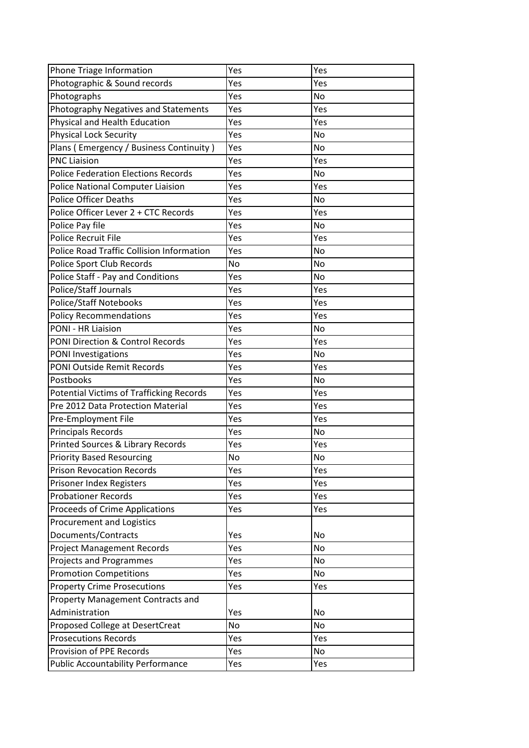| Phone Triage Information                          | Yes | Yes       |
|---------------------------------------------------|-----|-----------|
| Photographic & Sound records                      | Yes | Yes       |
| Photographs                                       | Yes | No        |
| Photography Negatives and Statements              | Yes | Yes       |
| Physical and Health Education                     | Yes | Yes       |
| Physical Lock Security                            | Yes | No        |
| Plans (Emergency / Business Continuity)           | Yes | No        |
| <b>PNC Liaision</b>                               | Yes | Yes       |
| <b>Police Federation Elections Records</b>        | Yes | <b>No</b> |
| <b>Police National Computer Liaision</b>          | Yes | Yes       |
| Police Officer Deaths                             | Yes | No        |
| Police Officer Lever 2 + CTC Records              | Yes | Yes       |
| Police Pay file                                   | Yes | No        |
| Police Recruit File                               | Yes | Yes       |
| Police Road Traffic Collision Information         | Yes | No        |
| Police Sport Club Records                         | No  | No        |
| Police Staff - Pay and Conditions                 | Yes | No        |
| Police/Staff Journals                             | Yes | Yes       |
| <b>Police/Staff Notebooks</b>                     | Yes | Yes       |
| <b>Policy Recommendations</b>                     | Yes | Yes       |
| PONI - HR Liaision                                | Yes | No        |
| <b>PONI Direction &amp; Control Records</b>       |     | Yes       |
|                                                   | Yes |           |
| PONI Investigations<br>PONI Outside Remit Records | Yes | No        |
|                                                   | Yes | Yes       |
| Postbooks                                         | Yes | No        |
| Potential Victims of Trafficking Records          | Yes | Yes       |
| Pre 2012 Data Protection Material                 | Yes | Yes       |
| Pre-Employment File                               | Yes | Yes       |
| Principals Records                                | Yes | No        |
| Printed Sources & Library Records                 | Yes | Yes       |
| <b>Priority Based Resourcing</b>                  | No  | No        |
| <b>Prison Revocation Records</b>                  | Yes | Yes       |
| Prisoner Index Registers                          | Yes | Yes       |
| <b>Probationer Records</b>                        | Yes | Yes       |
| Proceeds of Crime Applications                    | Yes | Yes       |
| Procurement and Logistics                         |     |           |
| Documents/Contracts                               | Yes | No        |
| <b>Project Management Records</b>                 | Yes | No        |
| <b>Projects and Programmes</b>                    | Yes | No        |
| <b>Promotion Competitions</b>                     | Yes | No        |
| <b>Property Crime Prosecutions</b>                | Yes | Yes       |
| <b>Property Management Contracts and</b>          |     |           |
| Administration                                    | Yes | No        |
| Proposed College at DesertCreat                   | No  | No        |
| <b>Prosecutions Records</b>                       | Yes | Yes       |
| Provision of PPE Records                          | Yes | No        |
| Public Accountability Performance                 | Yes | Yes       |
|                                                   |     |           |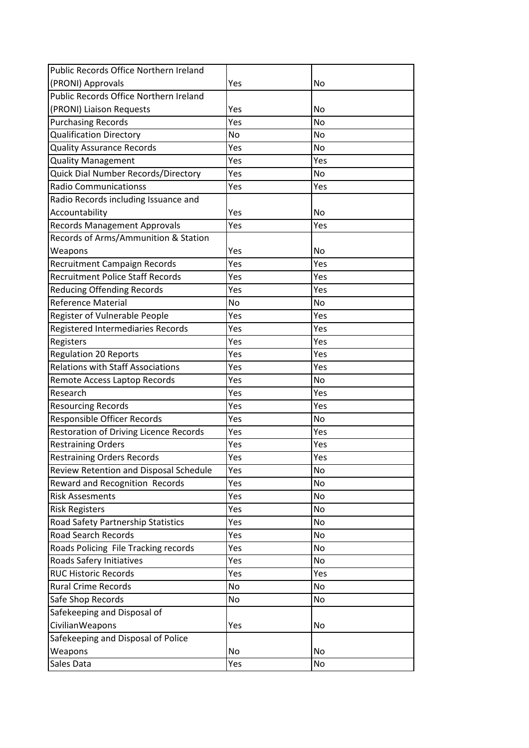| Public Records Office Northern Ireland        |     |           |
|-----------------------------------------------|-----|-----------|
| (PRONI) Approvals                             | Yes | No        |
| Public Records Office Northern Ireland        |     |           |
| (PRONI) Liaison Requests                      | Yes | <b>No</b> |
| <b>Purchasing Records</b>                     | Yes | <b>No</b> |
| <b>Qualification Directory</b>                | No  | <b>No</b> |
| <b>Quality Assurance Records</b>              | Yes | No        |
| <b>Quality Management</b>                     | Yes | Yes       |
| Quick Dial Number Records/Directory           | Yes | <b>No</b> |
| <b>Radio Communicationss</b>                  | Yes | Yes       |
| Radio Records including Issuance and          |     |           |
| Accountability                                | Yes | <b>No</b> |
| <b>Records Management Approvals</b>           | Yes | Yes       |
| Records of Arms/Ammunition & Station          |     |           |
| Weapons                                       | Yes | No        |
| Recruitment Campaign Records                  | Yes | Yes       |
| <b>Recruitment Police Staff Records</b>       | Yes | Yes       |
| <b>Reducing Offending Records</b>             | Yes | Yes       |
| <b>Reference Material</b>                     | No  | <b>No</b> |
| Register of Vulnerable People                 | Yes | Yes       |
| Registered Intermediaries Records             | Yes | Yes       |
| Registers                                     | Yes | Yes       |
| <b>Regulation 20 Reports</b>                  | Yes | Yes       |
| <b>Relations with Staff Associations</b>      | Yes | Yes       |
| Remote Access Laptop Records                  | Yes | <b>No</b> |
| Research                                      | Yes | Yes       |
| <b>Resourcing Records</b>                     | Yes | Yes       |
| Responsible Officer Records                   | Yes | <b>No</b> |
| <b>Restoration of Driving Licence Records</b> | Yes | Yes       |
| <b>Restraining Orders</b>                     | Yes | Yes       |
| <b>Restraining Orders Records</b>             | Yes | Yes       |
| Review Retention and Disposal Schedule        | Yes | No        |
| Reward and Recognition Records                | Yes | <b>No</b> |
| <b>Risk Assesments</b>                        | Yes | <b>No</b> |
| <b>Risk Registers</b>                         | Yes | <b>No</b> |
| Road Safety Partnership Statistics            | Yes | <b>No</b> |
| <b>Road Search Records</b>                    | Yes | No        |
| Roads Policing File Tracking records          | Yes | No        |
| Roads Safery Initiatives                      | Yes | No        |
| <b>RUC Historic Records</b>                   | Yes | Yes       |
| <b>Rural Crime Records</b>                    | No  | No        |
| Safe Shop Records                             | No  | <b>No</b> |
| Safekeeping and Disposal of                   |     |           |
| CivilianWeapons                               | Yes | No        |
| Safekeeping and Disposal of Police            |     |           |
| Weapons                                       | No  | No        |
| Sales Data                                    | Yes | <b>No</b> |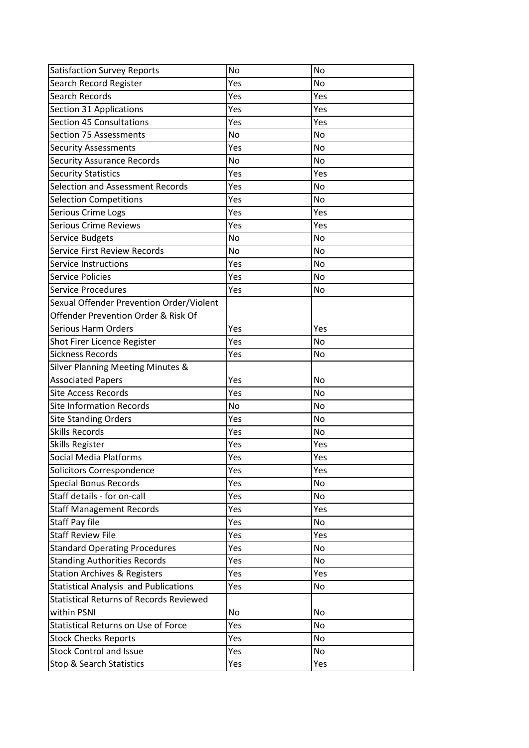| <b>Satisfaction Survey Reports</b>                                    | No         | <b>No</b> |
|-----------------------------------------------------------------------|------------|-----------|
| Search Record Register                                                | Yes        | <b>No</b> |
| Search Records                                                        | Yes        | Yes       |
| Section 31 Applications                                               | Yes        | Yes       |
| <b>Section 45 Consultations</b>                                       | Yes        | Yes       |
| Section 75 Assessments                                                | No         | No        |
| <b>Security Assessments</b>                                           | Yes        | <b>No</b> |
| <b>Security Assurance Records</b>                                     | No         | <b>No</b> |
| <b>Security Statistics</b>                                            | Yes        | Yes       |
| Selection and Assessment Records                                      | Yes        | <b>No</b> |
| <b>Selection Competitions</b>                                         | Yes        | No        |
| Serious Crime Logs                                                    | Yes        | Yes       |
| <b>Serious Crime Reviews</b>                                          | Yes        | Yes       |
| Service Budgets                                                       | No         | No        |
| <b>Service First Review Records</b>                                   | No         | <b>No</b> |
| Service Instructions                                                  | Yes        | <b>No</b> |
| <b>Service Policies</b>                                               | Yes        | <b>No</b> |
| Service Procedures                                                    | Yes        | No        |
| Sexual Offender Prevention Order/Violent                              |            |           |
| Offender Prevention Order & Risk Of                                   |            |           |
| Serious Harm Orders                                                   | Yes        | Yes       |
| Shot Firer Licence Register                                           | Yes        | <b>No</b> |
| <b>Sickness Records</b>                                               | Yes        | <b>No</b> |
| <b>Silver Planning Meeting Minutes &amp;</b>                          |            |           |
|                                                                       |            |           |
| <b>Associated Papers</b>                                              | Yes        | No        |
| Site Access Records                                                   | Yes        | <b>No</b> |
| <b>Site Information Records</b>                                       | No         | <b>No</b> |
| <b>Site Standing Orders</b>                                           | Yes        | <b>No</b> |
| <b>Skills Records</b>                                                 | Yes        | <b>No</b> |
| Skills Register                                                       | Yes        | Yes       |
| Social Media Platforms                                                | Yes        | Yes       |
| Solicitors Correspondence                                             | Yes        | Yes       |
| <b>Special Bonus Records</b>                                          | Yes        | <b>No</b> |
| Staff details - for on-call                                           | Yes        | <b>No</b> |
| <b>Staff Management Records</b>                                       | Yes        | Yes       |
| Staff Pay file                                                        | Yes        | No        |
| <b>Staff Review File</b>                                              | Yes        | Yes       |
| <b>Standard Operating Procedures</b>                                  | Yes        | <b>No</b> |
| <b>Standing Authorities Records</b>                                   | Yes        | No        |
| <b>Station Archives &amp; Registers</b>                               | Yes        | Yes       |
| <b>Statistical Analysis and Publications</b>                          | Yes        | No        |
| <b>Statistical Returns of Records Reviewed</b>                        |            |           |
| within PSNI                                                           | No         | <b>No</b> |
| <b>Statistical Returns on Use of Force</b>                            | Yes        | <b>No</b> |
| <b>Stock Checks Reports</b>                                           | Yes        | <b>No</b> |
| <b>Stock Control and Issue</b><br><b>Stop &amp; Search Statistics</b> | Yes<br>Yes | No<br>Yes |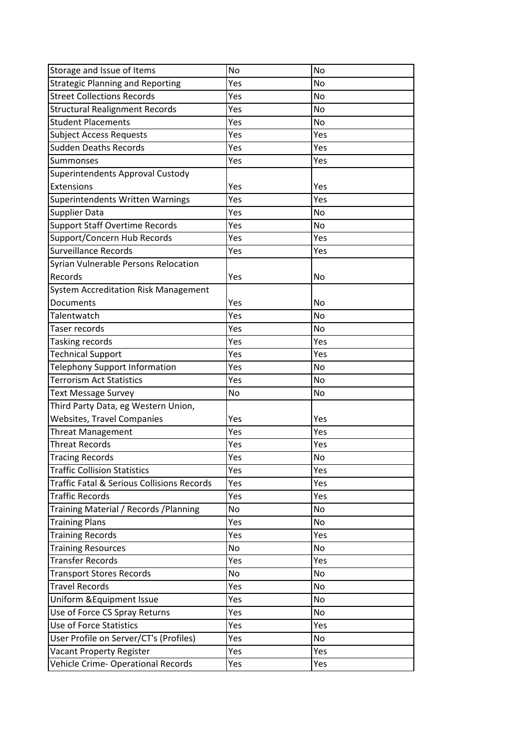| Storage and Issue of Items                  | No  | <b>No</b> |
|---------------------------------------------|-----|-----------|
| <b>Strategic Planning and Reporting</b>     | Yes | <b>No</b> |
| <b>Street Collections Records</b>           | Yes | <b>No</b> |
| <b>Structural Realignment Records</b>       | Yes | <b>No</b> |
| <b>Student Placements</b>                   | Yes | <b>No</b> |
| <b>Subject Access Requests</b>              | Yes | Yes       |
| Sudden Deaths Records                       | Yes | Yes       |
| Summonses                                   | Yes | Yes       |
| Superintendents Approval Custody            |     |           |
| Extensions                                  | Yes | Yes       |
| Superintendents Written Warnings            | Yes | Yes       |
| <b>Supplier Data</b>                        | Yes | <b>No</b> |
| <b>Support Staff Overtime Records</b>       | Yes | No        |
| Support/Concern Hub Records                 | Yes | Yes       |
| Surveillance Records                        | Yes | Yes       |
| Syrian Vulnerable Persons Relocation        |     |           |
| Records                                     | Yes | No        |
| <b>System Accreditation Risk Management</b> |     |           |
| Documents                                   | Yes | <b>No</b> |
| Talentwatch                                 | Yes | <b>No</b> |
| Taser records                               | Yes | No        |
| Tasking records                             | Yes | Yes       |
| <b>Technical Support</b>                    | Yes | Yes       |
| <b>Telephony Support Information</b>        | Yes | <b>No</b> |
| <b>Terrorism Act Statistics</b>             | Yes | No        |
| <b>Text Message Survey</b>                  | No  | <b>No</b> |
| Third Party Data, eg Western Union,         |     |           |
| <b>Websites, Travel Companies</b>           | Yes | Yes       |
| <b>Threat Management</b>                    | Yes | Yes       |
| <b>Threat Records</b>                       | Yes | Yes       |
| <b>Tracing Records</b>                      | Yes | No        |
| <b>Traffic Collision Statistics</b>         | Yes | Yes       |
| Traffic Fatal & Serious Collisions Records  | Yes | Yes       |
| <b>Traffic Records</b>                      | Yes | Yes       |
| Training Material / Records / Planning      | No  | <b>No</b> |
| <b>Training Plans</b>                       | Yes | No        |
| <b>Training Records</b>                     | Yes | Yes       |
| <b>Training Resources</b>                   | No  | <b>No</b> |
| <b>Transfer Records</b>                     | Yes | Yes       |
| <b>Transport Stores Records</b>             | No  | <b>No</b> |
| <b>Travel Records</b>                       | Yes | <b>No</b> |
| Uniform & Equipment Issue                   | Yes | No        |
| Use of Force CS Spray Returns               | Yes | <b>No</b> |
| <b>Use of Force Statistics</b>              | Yes | Yes       |
| User Profile on Server/CT's (Profiles)      | Yes | <b>No</b> |
| <b>Vacant Property Register</b>             | Yes | Yes       |
| Vehicle Crime-Operational Records           | Yes | Yes       |